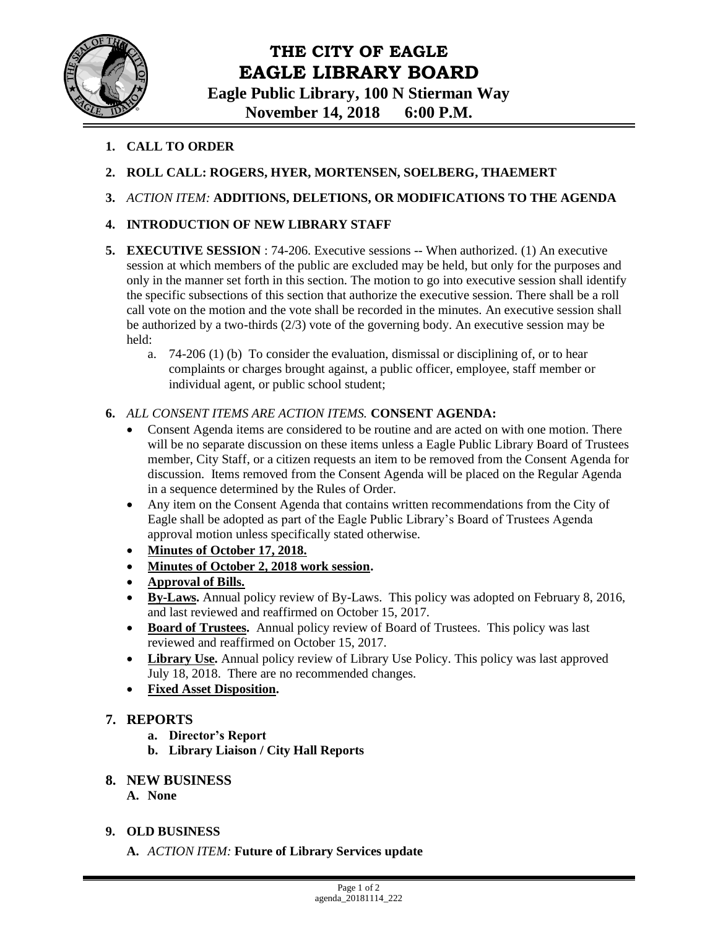

# **THE CITY OF EAGLE EAGLE LIBRARY BOARD**

**Eagle Public Library, 100 N Stierman Way November 14, 2018 6:00 P.M.**

- **1. CALL TO ORDER**
- **2. ROLL CALL: ROGERS, HYER, MORTENSEN, SOELBERG, THAEMERT**
- **3.** *ACTION ITEM:* **ADDITIONS, DELETIONS, OR MODIFICATIONS TO THE AGENDA**
- **4. INTRODUCTION OF NEW LIBRARY STAFF**
- **5. EXECUTIVE SESSION** : 74-206. Executive sessions -- When authorized. (1) An executive session at which members of the public are excluded may be held, but only for the purposes and only in the manner set forth in this section. The motion to go into executive session shall identify the specific subsections of this section that authorize the executive session. There shall be a roll call vote on the motion and the vote shall be recorded in the minutes. An executive session shall be authorized by a two-thirds  $(2/3)$  vote of the governing body. An executive session may be held:
	- a. 74-206 (1) (b) To consider the evaluation, dismissal or disciplining of, or to hear complaints or charges brought against, a public officer, employee, staff member or individual agent, or public school student;

#### **6.** *ALL CONSENT ITEMS ARE ACTION ITEMS.* **CONSENT AGENDA:**

- Consent Agenda items are considered to be routine and are acted on with one motion. There will be no separate discussion on these items unless a Eagle Public Library Board of Trustees member, City Staff, or a citizen requests an item to be removed from the Consent Agenda for discussion. Items removed from the Consent Agenda will be placed on the Regular Agenda in a sequence determined by the Rules of Order.
- Any item on the Consent Agenda that contains written recommendations from the City of Eagle shall be adopted as part of the Eagle Public Library's Board of Trustees Agenda approval motion unless specifically stated otherwise.
- **Minutes of October 17, 2018.**
- **Minutes of October 2, 2018 work session.**
- **Approval of Bills.**
- **By-Laws.** Annual policy review of By-Laws. This policy was adopted on February 8, 2016, and last reviewed and reaffirmed on October 15, 2017.
- **Board of Trustees.** Annual policy review of Board of Trustees. This policy was last reviewed and reaffirmed on October 15, 2017.
- **Library Use.** Annual policy review of Library Use Policy. This policy was last approved July 18, 2018. There are no recommended changes.
- **Fixed Asset Disposition.**

#### **7. REPORTS**

- **a. Director's Report**
- **b. Library Liaison / City Hall Reports**

#### **8. NEW BUSINESS**

- **A. None**
- **9. OLD BUSINESS**
	- **A.** *ACTION ITEM:* **Future of Library Services update**